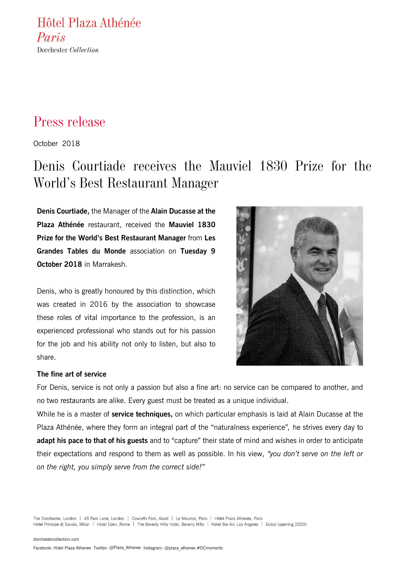Hôtel Plaza Athénée Paris Dorchester Collection

# Press release

October 2018

# Denis Courtiade receives the Mauviel 1830 Prize for the World's Best Restaurant Manager

**Denis Courtiade,** the Manager of the **Alain Ducasse at the Plaza Athénée** restaurant, received the **Mauviel 1830 Prize for the World's Best Restaurant Manager** from **Les Grandes Tables du Monde** association on **Tuesday 9 October 2018** in Marrakesh.

Denis, who is greatly honoured by this distinction, which was created in 2016 by the association to showcase these roles of vital importance to the profession, is an experienced professional who stands out for his passion for the job and his ability not only to listen, but also to share.



### **The fine art of service**

For Denis, service is not only a passion but also a fine art: no service can be compared to another, and no two restaurants are alike. Every guest must be treated as a unique individual.

While he is a master of **service techniques,** on which particular emphasis is laid at Alain Ducasse at the Plaza Athénée, where they form an integral part of the "naturalness experience"*,* he strives every day to **adapt his pace to that of his guests** and to "capture" their state of mind and wishes in order to anticipate their expectations and respond to them as well as possible. In his view, *"you don't serve on the left or on the right, you simply serve from the correct side!"*

The Dorchester, London | 45 Park Lane, London | Coworth Park, Ascot | Le Meurice, Paris | Hôtel Plaza Athénée, Paris Hotel Principe di Savoia, Milan | Hotel Eden, Rome | The Beverly Hills Hotel, Beverly Hills | Hotel Bel-Air, Los Angeles | Dubai (opening 2020)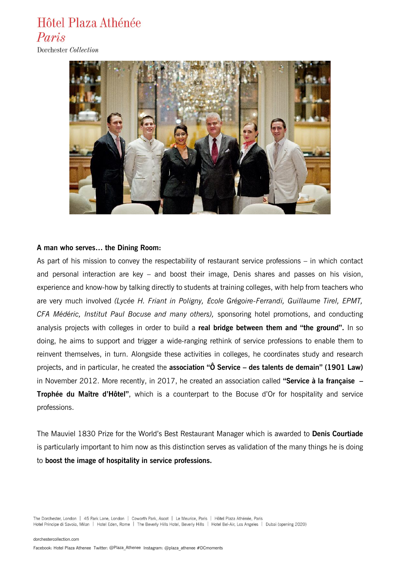# Hôtel Plaza Athénée Paris

Dorchester Collection



### **A man who serves… the Dining Room:**

As part of his mission to convey the respectability of restaurant service professions – in which contact and personal interaction are key – and boost their image, Denis shares and passes on his vision, experience and know-how by talking directly to students at training colleges, with help from teachers who are very much involved *(Lycée H. Friant in Poligny, École Grégoire-Ferrandi, Guillaume Tirel, EPMT, CFA Médéric, Institut Paul Bocuse and many others),* sponsoring hotel promotions, and conducting analysis projects with colleges in order to build a **real bridge between them and "the ground".** In so doing, he aims to support and trigger a wide-ranging rethink of service professions to enable them to reinvent themselves, in turn. Alongside these activities in colleges, he coordinates study and research projects, and in particular, he created the **association "Ô Service – des talents de demain" (1901 Law)** in November 2012. More recently, in 2017, he created an association called **"Service à la française – Trophée du Maître d'Hôtel"**, which is a counterpart to the Bocuse d'Or for hospitality and service professions.

The Mauviel 1830 Prize for the World's Best Restaurant Manager which is awarded to **Denis Courtiade** is particularly important to him now as this distinction serves as validation of the many things he is doing to **boost the image of hospitality in service professions.**

The Dorchester, London | 45 Park Lane, London | Coworth Park, Ascot | Le Meurice, Paris | Hôtel Plaza Athénée, Paris Hotel Principe di Savoia, Milan | Hotel Eden, Rome | The Beverly Hills Hotel, Beverly Hills | Hotel Bel-Air, Los Angeles | Dubai (opening 2020)

[dorchestercollection.com](http://www.dorchestercollection.com/)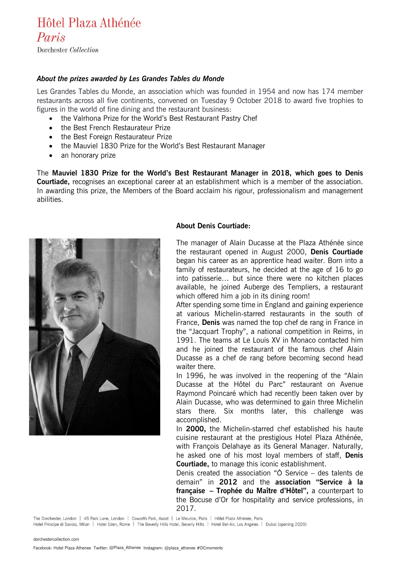# Hôtel Plaza Athénée Paris

Dorchester Collection

## *About the prizes awarded by Les Grandes Tables du Monde*

Les Grandes Tables du Monde, an association which was founded in 1954 and now has 174 member restaurants across all five continents, convened on Tuesday 9 October 2018 to award five trophies to figures in the world of fine dining and the restaurant business:

- the Valrhona Prize for the World's Best Restaurant Pastry Chef
- the Best French Restaurateur Prize
- the Best Foreign Restaurateur Prize
- the Mauviel 1830 Prize for the World's Best Restaurant Manager
- an honorary prize

The **Mauviel 1830 Prize for the World's Best Restaurant Manager in 2018, which goes to Denis Courtiade,** recognises an exceptional career at an establishment which is a member of the association. In awarding this prize, the Members of the Board acclaim his rigour, professionalism and management abilities.



## **About Denis Courtiade:**

The manager of Alain Ducasse at the Plaza Athénée since the restaurant opened in August 2000, **Denis Courtiade**  began his career as an apprentice head waiter. Born into a family of restaurateurs, he decided at the age of 16 to go into patisserie… but since there were no kitchen places available, he joined Auberge des Templiers, a restaurant which offered him a job in its dining room!

After spending some time in England and gaining experience at various Michelin-starred restaurants in the south of France, **Denis** was named the top chef de rang in France in the "Jacquart Trophy", a national competition in Reims, in 1991. The teams at Le Louis XV in Monaco contacted him and he joined the restaurant of the famous chef Alain Ducasse as a chef de rang before becoming second head waiter there.

In 1996, he was involved in the reopening of the "Alain Ducasse at the Hôtel du Parc" restaurant on Avenue Raymond Poincaré which had recently been taken over by Alain Ducasse, who was determined to gain three Michelin stars there. Six months later, this challenge was accomplished.

In **2000,** the Michelin-starred chef established his haute cuisine restaurant at the prestigious Hotel Plaza Athénée, with François Delahaye as its General Manager. Naturally, he asked one of his most loyal members of staff, **Denis Courtiade,** to manage this iconic establishment.

Denis created the association "Ô Service – des talents de demain" in **2012** and the **association "Service à la française – Trophée du Maître d'Hôtel",** a counterpart to the Bocuse d'Or for hospitality and service professions, in 2017.

The Dorchester, London | 45 Park Lane, London | Coworth Park, Ascot | Le Meurice, Paris | Hôtel Plaza Athénée, Paris

Hotel Principe di Savoia, Milan | Hotel Eden, Rome | The Beverly Hills Hotel, Beverly Hills | Hotel Bel-Air, Los Angeles | Dubai (opening 2020)